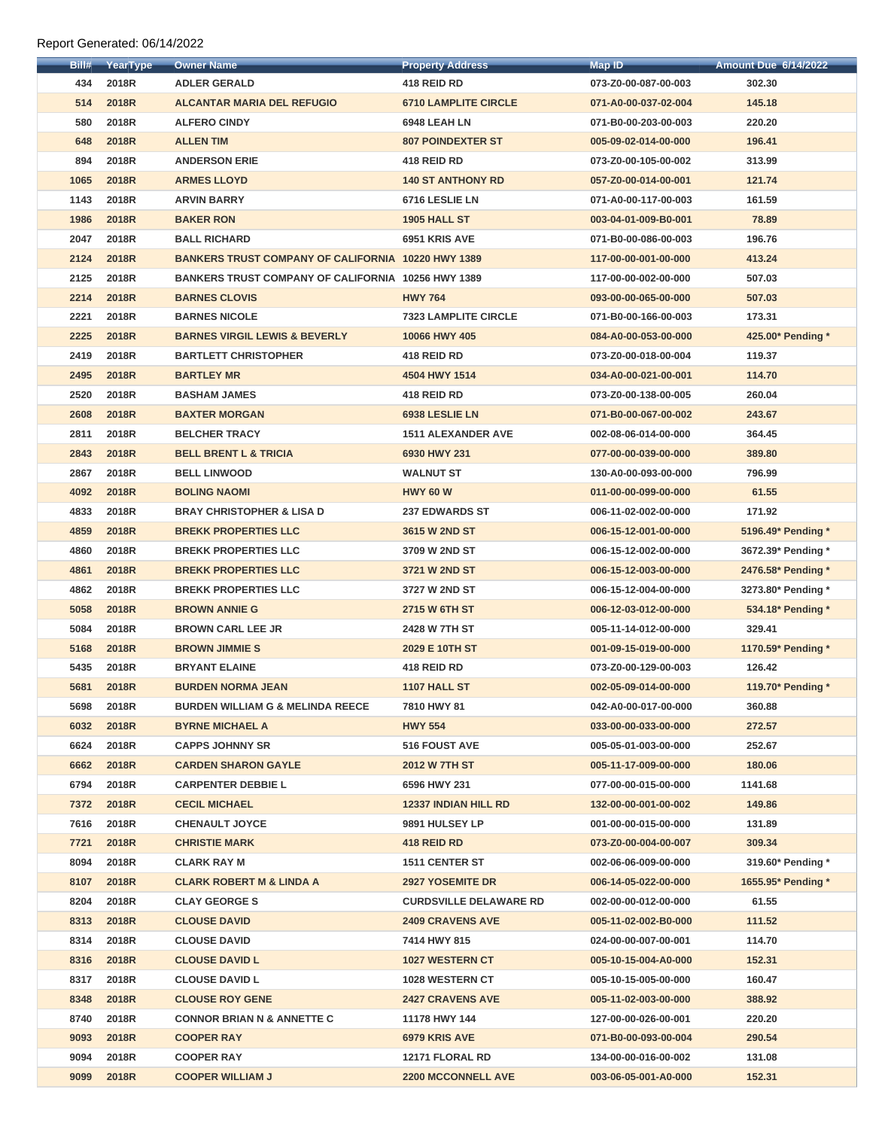| Bill# | YearType     | <b>Owner Name</b>                                         | <b>Property Address</b>       | <b>Map ID</b>        | <b>Amount Due 6/14/2022</b> |
|-------|--------------|-----------------------------------------------------------|-------------------------------|----------------------|-----------------------------|
| 434   | 2018R        | <b>ADLER GERALD</b>                                       | 418 REID RD                   | 073-Z0-00-087-00-003 | 302.30                      |
| 514   | 2018R        | <b>ALCANTAR MARIA DEL REFUGIO</b>                         | <b>6710 LAMPLITE CIRCLE</b>   | 071-A0-00-037-02-004 | 145.18                      |
| 580   | 2018R        | <b>ALFERO CINDY</b>                                       | 6948 LEAH LN                  | 071-B0-00-203-00-003 | 220.20                      |
| 648   | 2018R        | <b>ALLEN TIM</b>                                          | <b>807 POINDEXTER ST</b>      | 005-09-02-014-00-000 | 196.41                      |
| 894   | 2018R        | <b>ANDERSON ERIE</b>                                      | 418 REID RD                   | 073-Z0-00-105-00-002 | 313.99                      |
| 1065  | 2018R        | <b>ARMES LLOYD</b>                                        | <b>140 ST ANTHONY RD</b>      | 057-Z0-00-014-00-001 | 121.74                      |
| 1143  | 2018R        | <b>ARVIN BARRY</b>                                        | 6716 LESLIE LN                | 071-A0-00-117-00-003 | 161.59                      |
| 1986  | 2018R        | <b>BAKER RON</b>                                          | <b>1905 HALL ST</b>           | 003-04-01-009-B0-001 | 78.89                       |
| 2047  | 2018R        | <b>BALL RICHARD</b>                                       | 6951 KRIS AVE                 | 071-B0-00-086-00-003 | 196.76                      |
| 2124  | 2018R        | <b>BANKERS TRUST COMPANY OF CALIFORNIA 10220 HWY 1389</b> |                               | 117-00-00-001-00-000 | 413.24                      |
| 2125  | 2018R        | <b>BANKERS TRUST COMPANY OF CALIFORNIA 10256 HWY 1389</b> |                               | 117-00-00-002-00-000 | 507.03                      |
| 2214  | 2018R        | <b>BARNES CLOVIS</b>                                      | <b>HWY 764</b>                | 093-00-00-065-00-000 | 507.03                      |
| 2221  | 2018R        | <b>BARNES NICOLE</b>                                      | <b>7323 LAMPLITE CIRCLE</b>   | 071-B0-00-166-00-003 | 173.31                      |
| 2225  | 2018R        | <b>BARNES VIRGIL LEWIS &amp; BEVERLY</b>                  | 10066 HWY 405                 | 084-A0-00-053-00-000 | 425.00* Pending *           |
| 2419  | 2018R        | <b>BARTLETT CHRISTOPHER</b>                               | 418 REID RD                   | 073-Z0-00-018-00-004 | 119.37                      |
| 2495  | 2018R        | <b>BARTLEY MR</b>                                         | 4504 HWY 1514                 | 034-A0-00-021-00-001 | 114.70                      |
| 2520  | 2018R        | <b>BASHAM JAMES</b>                                       | 418 REID RD                   | 073-Z0-00-138-00-005 | 260.04                      |
| 2608  | 2018R        | <b>BAXTER MORGAN</b>                                      | 6938 LESLIE LN                | 071-B0-00-067-00-002 | 243.67                      |
| 2811  | 2018R        | <b>BELCHER TRACY</b>                                      | <b>1511 ALEXANDER AVE</b>     | 002-08-06-014-00-000 | 364.45                      |
| 2843  | 2018R        | <b>BELL BRENT L &amp; TRICIA</b>                          | 6930 HWY 231                  | 077-00-00-039-00-000 | 389.80                      |
| 2867  | 2018R        | <b>BELL LINWOOD</b>                                       | <b>WALNUT ST</b>              | 130-A0-00-093-00-000 | 796.99                      |
| 4092  | 2018R        | <b>BOLING NAOMI</b>                                       | <b>HWY 60 W</b>               | 011-00-00-099-00-000 | 61.55                       |
| 4833  | 2018R        | <b>BRAY CHRISTOPHER &amp; LISA D</b>                      | <b>237 EDWARDS ST</b>         | 006-11-02-002-00-000 | 171.92                      |
| 4859  | 2018R        | <b>BREKK PROPERTIES LLC</b>                               | 3615 W 2ND ST                 | 006-15-12-001-00-000 | 5196.49* Pending *          |
| 4860  | 2018R        | <b>BREKK PROPERTIES LLC</b>                               | 3709 W 2ND ST                 | 006-15-12-002-00-000 | 3672.39* Pending *          |
| 4861  | 2018R        | <b>BREKK PROPERTIES LLC</b>                               | 3721 W 2ND ST                 | 006-15-12-003-00-000 | 2476.58* Pending *          |
| 4862  | 2018R        | <b>BREKK PROPERTIES LLC</b>                               | 3727 W 2ND ST                 | 006-15-12-004-00-000 | 3273.80* Pending *          |
| 5058  | 2018R        | <b>BROWN ANNIE G</b>                                      | 2715 W 6TH ST                 | 006-12-03-012-00-000 | 534.18* Pending *           |
| 5084  | 2018R        | <b>BROWN CARL LEE JR</b>                                  | 2428 W 7TH ST                 | 005-11-14-012-00-000 | 329.41                      |
| 5168  | <b>2018R</b> | <b>BROWN JIMMIES</b>                                      | 2029 E 10TH ST                |                      | 1170.59* Pending *          |
|       |              |                                                           |                               | 001-09-15-019-00-000 |                             |
| 5435  | 2018R        | <b>BRYANT ELAINE</b>                                      | 418 REID RD                   | 073-Z0-00-129-00-003 | 126.42                      |
| 5681  | 2018R        | <b>BURDEN NORMA JEAN</b>                                  | 1107 HALL ST                  | 002-05-09-014-00-000 | 119.70* Pending *           |
| 5698  | 2018R        | <b>BURDEN WILLIAM G &amp; MELINDA REECE</b>               | 7810 HWY 81                   | 042-A0-00-017-00-000 | 360.88                      |
| 6032  | 2018R        | <b>BYRNE MICHAEL A</b>                                    | <b>HWY 554</b>                | 033-00-00-033-00-000 | 272.57                      |
| 6624  | 2018R        | <b>CAPPS JOHNNY SR</b>                                    | <b>516 FOUST AVE</b>          | 005-05-01-003-00-000 | 252.67                      |
| 6662  | 2018R        | <b>CARDEN SHARON GAYLE</b>                                | <b>2012 W 7TH ST</b>          | 005-11-17-009-00-000 | 180.06                      |
| 6794  | 2018R        | <b>CARPENTER DEBBIE L</b>                                 | 6596 HWY 231                  | 077-00-00-015-00-000 | 1141.68                     |
| 7372  | 2018R        | <b>CECIL MICHAEL</b>                                      | <b>12337 INDIAN HILL RD</b>   | 132-00-00-001-00-002 | 149.86                      |
| 7616  | 2018R        | <b>CHENAULT JOYCE</b>                                     | 9891 HULSEY LP                | 001-00-00-015-00-000 | 131.89                      |
| 7721  | 2018R        | <b>CHRISTIE MARK</b>                                      | 418 REID RD                   | 073-Z0-00-004-00-007 | 309.34                      |
| 8094  | 2018R        | <b>CLARK RAY M</b>                                        | 1511 CENTER ST                | 002-06-06-009-00-000 | 319.60* Pending *           |
| 8107  | 2018R        | <b>CLARK ROBERT M &amp; LINDA A</b>                       | <b>2927 YOSEMITE DR</b>       | 006-14-05-022-00-000 | 1655.95* Pending *          |
| 8204  | 2018R        | <b>CLAY GEORGE S</b>                                      | <b>CURDSVILLE DELAWARE RD</b> | 002-00-00-012-00-000 | 61.55                       |
| 8313  | 2018R        | <b>CLOUSE DAVID</b>                                       | <b>2409 CRAVENS AVE</b>       | 005-11-02-002-B0-000 | 111.52                      |
| 8314  | 2018R        | <b>CLOUSE DAVID</b>                                       | 7414 HWY 815                  | 024-00-00-007-00-001 | 114.70                      |
| 8316  | 2018R        | <b>CLOUSE DAVID L</b>                                     | <b>1027 WESTERN CT</b>        | 005-10-15-004-A0-000 | 152.31                      |
| 8317  | 2018R        | <b>CLOUSE DAVID L</b>                                     | 1028 WESTERN CT               | 005-10-15-005-00-000 | 160.47                      |
| 8348  | <b>2018R</b> | <b>CLOUSE ROY GENE</b>                                    | <b>2427 CRAVENS AVE</b>       | 005-11-02-003-00-000 | 388.92                      |
| 8740  | 2018R        | <b>CONNOR BRIAN N &amp; ANNETTE C</b>                     | 11178 HWY 144                 | 127-00-00-026-00-001 | 220.20                      |
| 9093  | <b>2018R</b> | <b>COOPER RAY</b>                                         | 6979 KRIS AVE                 | 071-B0-00-093-00-004 | 290.54                      |
| 9094  | 2018R        | <b>COOPER RAY</b>                                         | 12171 FLORAL RD               | 134-00-00-016-00-002 | 131.08                      |
| 9099  | <b>2018R</b> | <b>COOPER WILLIAM J</b>                                   | <b>2200 MCCONNELL AVE</b>     | 003-06-05-001-A0-000 | 152.31                      |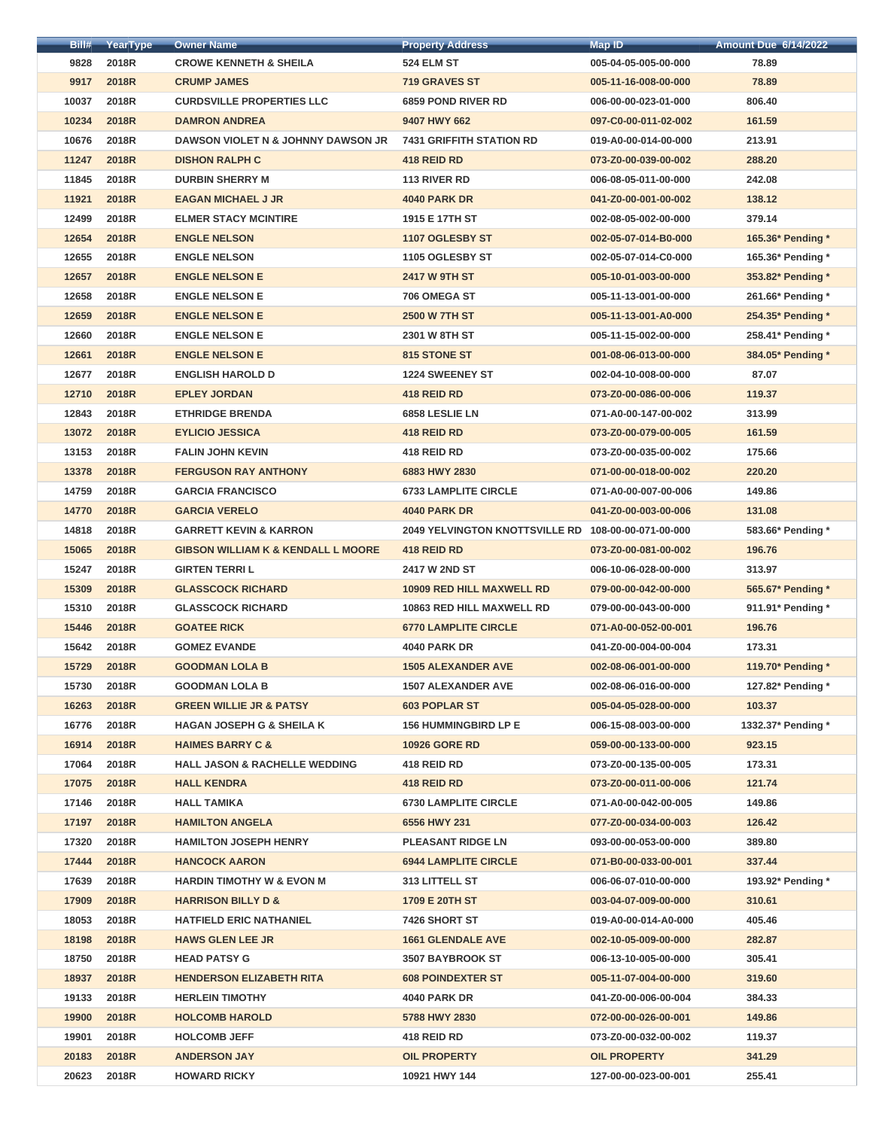| Bill# | YearType     | <b>Owner Name</b>                             | <b>Property Address</b>                             | <b>Map ID</b>        | <b>Amount Due 6/14/2022</b> |
|-------|--------------|-----------------------------------------------|-----------------------------------------------------|----------------------|-----------------------------|
| 9828  | 2018R        | <b>CROWE KENNETH &amp; SHEILA</b>             | <b>524 ELM ST</b>                                   | 005-04-05-005-00-000 | 78.89                       |
| 9917  | 2018R        | <b>CRUMP JAMES</b>                            | <b>719 GRAVES ST</b>                                | 005-11-16-008-00-000 | 78.89                       |
| 10037 | 2018R        | <b>CURDSVILLE PROPERTIES LLC</b>              | <b>6859 POND RIVER RD</b>                           | 006-00-00-023-01-000 | 806.40                      |
| 10234 | 2018R        | <b>DAMRON ANDREA</b>                          | 9407 HWY 662                                        | 097-C0-00-011-02-002 | 161.59                      |
| 10676 | 2018R        | DAWSON VIOLET N & JOHNNY DAWSON JR            | <b>7431 GRIFFITH STATION RD</b>                     | 019-A0-00-014-00-000 | 213.91                      |
| 11247 | 2018R        | <b>DISHON RALPH C</b>                         | 418 REID RD                                         | 073-Z0-00-039-00-002 | 288.20                      |
| 11845 | 2018R        | <b>DURBIN SHERRY M</b>                        | 113 RIVER RD                                        | 006-08-05-011-00-000 | 242.08                      |
| 11921 | 2018R        | <b>EAGAN MICHAEL J JR</b>                     | <b>4040 PARK DR</b>                                 | 041-Z0-00-001-00-002 | 138.12                      |
| 12499 | 2018R        | <b>ELMER STACY MCINTIRE</b>                   | 1915 E 17TH ST                                      | 002-08-05-002-00-000 | 379.14                      |
| 12654 | <b>2018R</b> | <b>ENGLE NELSON</b>                           | 1107 OGLESBY ST                                     | 002-05-07-014-B0-000 | 165.36* Pending *           |
| 12655 | 2018R        | <b>ENGLE NELSON</b>                           | 1105 OGLESBY ST                                     | 002-05-07-014-C0-000 | 165.36* Pending *           |
| 12657 | <b>2018R</b> | <b>ENGLE NELSON E</b>                         | <b>2417 W 9TH ST</b>                                | 005-10-01-003-00-000 | 353.82* Pending *           |
| 12658 | 2018R        | <b>ENGLE NELSON E</b>                         | 706 OMEGA ST                                        | 005-11-13-001-00-000 | 261.66* Pending *           |
| 12659 | 2018R        | <b>ENGLE NELSON E</b>                         | <b>2500 W 7TH ST</b>                                | 005-11-13-001-A0-000 | 254.35* Pending *           |
| 12660 | 2018R        | <b>ENGLE NELSON E</b>                         | 2301 W 8TH ST                                       | 005-11-15-002-00-000 | 258.41* Pending *           |
| 12661 | <b>2018R</b> | <b>ENGLE NELSON E</b>                         | 815 STONE ST                                        | 001-08-06-013-00-000 | 384.05* Pending *           |
| 12677 | 2018R        | <b>ENGLISH HAROLD D</b>                       | <b>1224 SWEENEY ST</b>                              | 002-04-10-008-00-000 | 87.07                       |
| 12710 | 2018R        | <b>EPLEY JORDAN</b>                           | 418 REID RD                                         | 073-Z0-00-086-00-006 | 119.37                      |
| 12843 | 2018R        | <b>ETHRIDGE BRENDA</b>                        | 6858 LESLIE LN                                      | 071-A0-00-147-00-002 | 313.99                      |
| 13072 | 2018R        | <b>EYLICIO JESSICA</b>                        | 418 REID RD                                         | 073-Z0-00-079-00-005 | 161.59                      |
| 13153 | 2018R        | <b>FALIN JOHN KEVIN</b>                       | 418 REID RD                                         | 073-Z0-00-035-00-002 | 175.66                      |
| 13378 | 2018R        | <b>FERGUSON RAY ANTHONY</b>                   | 6883 HWY 2830                                       | 071-00-00-018-00-002 | 220.20                      |
| 14759 | 2018R        | <b>GARCIA FRANCISCO</b>                       | <b>6733 LAMPLITE CIRCLE</b>                         | 071-A0-00-007-00-006 | 149.86                      |
| 14770 | 2018R        | <b>GARCIA VERELO</b>                          | <b>4040 PARK DR</b>                                 | 041-Z0-00-003-00-006 | 131.08                      |
| 14818 | 2018R        | <b>GARRETT KEVIN &amp; KARRON</b>             | 2049 YELVINGTON KNOTTSVILLE RD 108-00-00-071-00-000 |                      | 583.66* Pending *           |
| 15065 | 2018R        | <b>GIBSON WILLIAM K &amp; KENDALL L MOORE</b> | 418 REID RD                                         | 073-Z0-00-081-00-002 | 196.76                      |
| 15247 | 2018R        | <b>GIRTEN TERRIL</b>                          | 2417 W 2ND ST                                       | 006-10-06-028-00-000 | 313.97                      |
| 15309 | <b>2018R</b> | <b>GLASSCOCK RICHARD</b>                      | <b>10909 RED HILL MAXWELL RD</b>                    | 079-00-00-042-00-000 | 565.67* Pending *           |
| 15310 | 2018R        | <b>GLASSCOCK RICHARD</b>                      | <b>10863 RED HILL MAXWELL RD</b>                    | 079-00-00-043-00-000 | 911.91* Pending *           |
| 15446 | <b>2018R</b> | <b>GOATEE RICK</b>                            | <b>6770 LAMPLITE CIRCLE</b>                         | 071-A0-00-052-00-001 | 196.76                      |
| 15642 | 2018R        | <b>GOMEZ EVANDE</b>                           | <b>4040 PARK DR</b>                                 | 041-Z0-00-004-00-004 | 173.31                      |
| 15729 | 2018R        | <b>GOODMAN LOLA B</b>                         | <b>1505 ALEXANDER AVE</b>                           | 002-08-06-001-00-000 | 119.70* Pending *           |
| 15730 | 2018R        | <b>GOODMAN LOLA B</b>                         | <b>1507 ALEXANDER AVE</b>                           | 002-08-06-016-00-000 | 127.82* Pending *           |
| 16263 | 2018R        | <b>GREEN WILLIE JR &amp; PATSY</b>            | <b>603 POPLAR ST</b>                                | 005-04-05-028-00-000 | 103.37                      |
| 16776 | 2018R        | <b>HAGAN JOSEPH G &amp; SHEILA K</b>          | <b>156 HUMMINGBIRD LP E</b>                         | 006-15-08-003-00-000 | 1332.37* Pending *          |
| 16914 | 2018R        | <b>HAIMES BARRY C &amp;</b>                   | <b>10926 GORE RD</b>                                | 059-00-00-133-00-000 | 923.15                      |
| 17064 | 2018R        | <b>HALL JASON &amp; RACHELLE WEDDING</b>      | 418 REID RD                                         | 073-Z0-00-135-00-005 | 173.31                      |
| 17075 | 2018R        | <b>HALL KENDRA</b>                            | 418 REID RD                                         | 073-Z0-00-011-00-006 | 121.74                      |
| 17146 | 2018R        | <b>HALL TAMIKA</b>                            | <b>6730 LAMPLITE CIRCLE</b>                         | 071-A0-00-042-00-005 | 149.86                      |
| 17197 | 2018R        | <b>HAMILTON ANGELA</b>                        | 6556 HWY 231                                        | 077-Z0-00-034-00-003 | 126.42                      |
| 17320 | 2018R        | <b>HAMILTON JOSEPH HENRY</b>                  | <b>PLEASANT RIDGE LN</b>                            | 093-00-00-053-00-000 | 389.80                      |
| 17444 | <b>2018R</b> | <b>HANCOCK AARON</b>                          | <b>6944 LAMPLITE CIRCLE</b>                         | 071-B0-00-033-00-001 | 337.44                      |
| 17639 | 2018R        | <b>HARDIN TIMOTHY W &amp; EVON M</b>          | 313 LITTELL ST                                      | 006-06-07-010-00-000 | 193.92* Pending *           |
| 17909 | 2018R        | <b>HARRISON BILLY D &amp;</b>                 | 1709 E 20TH ST                                      | 003-04-07-009-00-000 | 310.61                      |
| 18053 | 2018R        | <b>HATFIELD ERIC NATHANIEL</b>                | 7426 SHORT ST                                       | 019-A0-00-014-A0-000 | 405.46                      |
| 18198 | <b>2018R</b> | <b>HAWS GLEN LEE JR</b>                       | <b>1661 GLENDALE AVE</b>                            | 002-10-05-009-00-000 | 282.87                      |
| 18750 | 2018R        | <b>HEAD PATSY G</b>                           | <b>3507 BAYBROOK ST</b>                             | 006-13-10-005-00-000 | 305.41                      |
| 18937 | 2018R        | <b>HENDERSON ELIZABETH RITA</b>               | <b>608 POINDEXTER ST</b>                            | 005-11-07-004-00-000 | 319.60                      |
| 19133 | 2018R        | <b>HERLEIN TIMOTHY</b>                        | <b>4040 PARK DR</b>                                 | 041-Z0-00-006-00-004 | 384.33                      |
| 19900 | 2018R        | <b>HOLCOMB HAROLD</b>                         | 5788 HWY 2830                                       | 072-00-00-026-00-001 | 149.86                      |
| 19901 | 2018R        | <b>HOLCOMB JEFF</b>                           | 418 REID RD                                         | 073-Z0-00-032-00-002 | 119.37                      |
| 20183 | 2018R        | <b>ANDERSON JAY</b>                           | <b>OIL PROPERTY</b>                                 | <b>OIL PROPERTY</b>  | 341.29                      |
| 20623 | 2018R        | <b>HOWARD RICKY</b>                           | 10921 HWY 144                                       | 127-00-00-023-00-001 | 255.41                      |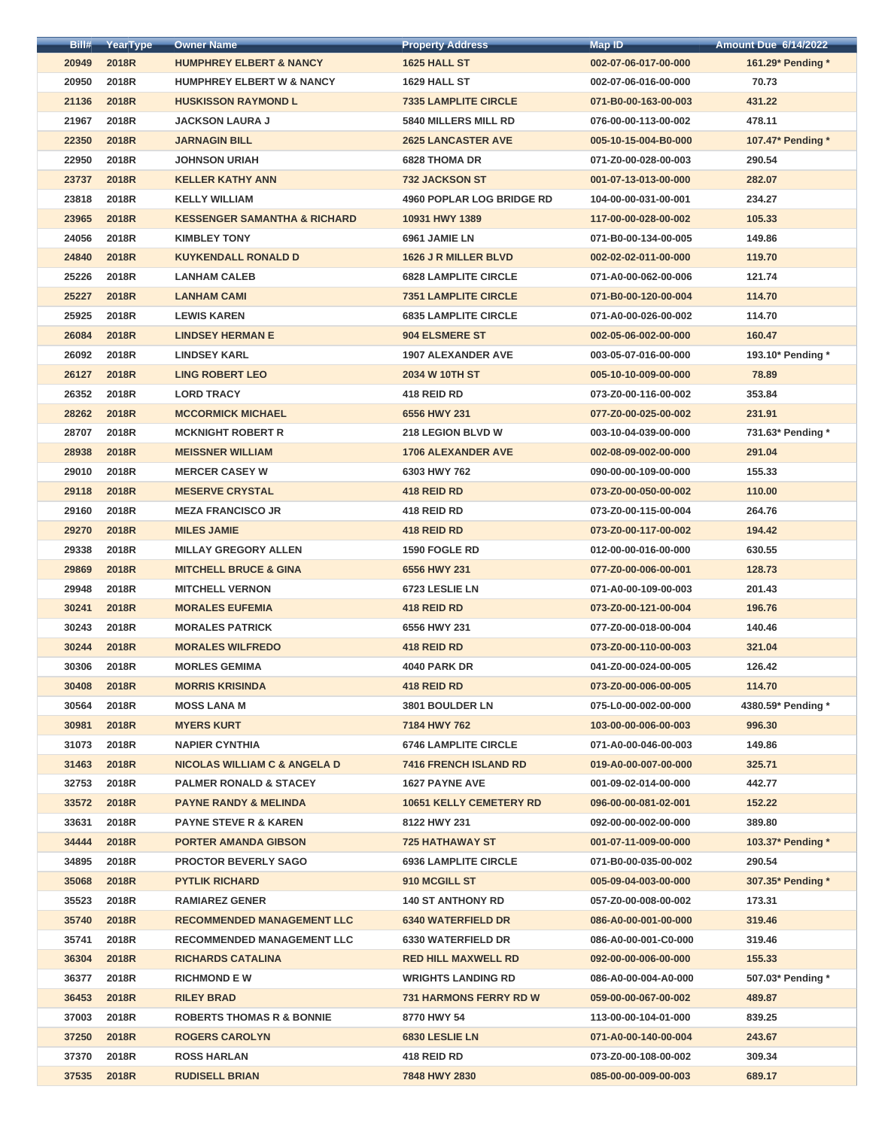| Bill# | YearType     | <b>Owner Name</b>                       | <b>Property Address</b>          | <b>Map ID</b>        | <b>Amount Due 6/14/2022</b> |
|-------|--------------|-----------------------------------------|----------------------------------|----------------------|-----------------------------|
| 20949 | <b>2018R</b> | <b>HUMPHREY ELBERT &amp; NANCY</b>      | 1625 HALL ST                     | 002-07-06-017-00-000 | 161.29* Pending *           |
| 20950 | 2018R        | <b>HUMPHREY ELBERT W &amp; NANCY</b>    | 1629 HALL ST                     | 002-07-06-016-00-000 | 70.73                       |
| 21136 | <b>2018R</b> | <b>HUSKISSON RAYMOND L</b>              | <b>7335 LAMPLITE CIRCLE</b>      | 071-B0-00-163-00-003 | 431.22                      |
| 21967 | 2018R        | <b>JACKSON LAURA J</b>                  | <b>5840 MILLERS MILL RD</b>      | 076-00-00-113-00-002 | 478.11                      |
| 22350 | <b>2018R</b> | <b>JARNAGIN BILL</b>                    | <b>2625 LANCASTER AVE</b>        | 005-10-15-004-B0-000 | 107.47* Pending *           |
| 22950 | 2018R        | <b>JOHNSON URIAH</b>                    | <b>6828 THOMA DR</b>             | 071-Z0-00-028-00-003 | 290.54                      |
| 23737 | <b>2018R</b> | <b>KELLER KATHY ANN</b>                 | <b>732 JACKSON ST</b>            | 001-07-13-013-00-000 | 282.07                      |
| 23818 | 2018R        | <b>KELLY WILLIAM</b>                    | <b>4960 POPLAR LOG BRIDGE RD</b> | 104-00-00-031-00-001 | 234.27                      |
| 23965 | <b>2018R</b> | <b>KESSENGER SAMANTHA &amp; RICHARD</b> | 10931 HWY 1389                   | 117-00-00-028-00-002 | 105.33                      |
| 24056 | 2018R        | <b>KIMBLEY TONY</b>                     | 6961 JAMIE LN                    | 071-B0-00-134-00-005 | 149.86                      |
| 24840 | <b>2018R</b> | <b>KUYKENDALL RONALD D</b>              | 1626 J R MILLER BLVD             | 002-02-02-011-00-000 | 119.70                      |
| 25226 | 2018R        | <b>LANHAM CALEB</b>                     | <b>6828 LAMPLITE CIRCLE</b>      | 071-A0-00-062-00-006 | 121.74                      |
| 25227 | <b>2018R</b> | <b>LANHAM CAMI</b>                      | <b>7351 LAMPLITE CIRCLE</b>      | 071-B0-00-120-00-004 | 114.70                      |
| 25925 | 2018R        | <b>LEWIS KAREN</b>                      | <b>6835 LAMPLITE CIRCLE</b>      | 071-A0-00-026-00-002 | 114.70                      |
| 26084 | 2018R        | <b>LINDSEY HERMAN E</b>                 | 904 ELSMERE ST                   | 002-05-06-002-00-000 | 160.47                      |
| 26092 | 2018R        | <b>LINDSEY KARL</b>                     | <b>1907 ALEXANDER AVE</b>        | 003-05-07-016-00-000 | 193.10* Pending *           |
| 26127 | <b>2018R</b> | <b>LING ROBERT LEO</b>                  | 2034 W 10TH ST                   | 005-10-10-009-00-000 | 78.89                       |
| 26352 | 2018R        | <b>LORD TRACY</b>                       | 418 REID RD                      | 073-Z0-00-116-00-002 | 353.84                      |
| 28262 | <b>2018R</b> | <b>MCCORMICK MICHAEL</b>                | 6556 HWY 231                     | 077-Z0-00-025-00-002 | 231.91                      |
| 28707 | 2018R        | <b>MCKNIGHT ROBERT R</b>                | 218 LEGION BLVD W                | 003-10-04-039-00-000 | 731.63* Pending *           |
| 28938 | <b>2018R</b> | <b>MEISSNER WILLIAM</b>                 | <b>1706 ALEXANDER AVE</b>        | 002-08-09-002-00-000 | 291.04                      |
| 29010 | 2018R        | <b>MERCER CASEY W</b>                   | 6303 HWY 762                     | 090-00-00-109-00-000 | 155.33                      |
| 29118 | 2018R        | <b>MESERVE CRYSTAL</b>                  | 418 REID RD                      | 073-Z0-00-050-00-002 | 110.00                      |
| 29160 | 2018R        | <b>MEZA FRANCISCO JR</b>                | 418 REID RD                      | 073-Z0-00-115-00-004 | 264.76                      |
| 29270 | 2018R        | <b>MILES JAMIE</b>                      | 418 REID RD                      | 073-Z0-00-117-00-002 | 194.42                      |
| 29338 | 2018R        | <b>MILLAY GREGORY ALLEN</b>             | 1590 FOGLE RD                    | 012-00-00-016-00-000 | 630.55                      |
| 29869 | 2018R        | <b>MITCHELL BRUCE &amp; GINA</b>        | 6556 HWY 231                     | 077-Z0-00-006-00-001 | 128.73                      |
| 29948 | 2018R        | <b>MITCHELL VERNON</b>                  | 6723 LESLIE LN                   | 071-A0-00-109-00-003 | 201.43                      |
| 30241 | 2018R        | <b>MORALES EUFEMIA</b>                  | 418 REID RD                      | 073-Z0-00-121-00-004 | 196.76                      |
| 30243 | 2018R        | <b>MORALES PATRICK</b>                  | 6556 HWY 231                     | 077-Z0-00-018-00-004 | 140.46                      |
| 30244 | 2018R        | <b>MORALES WILFREDO</b>                 | 418 REID RD                      | 073-Z0-00-110-00-003 | 321.04                      |
| 30306 | 2018R        | <b>MORLES GEMIMA</b>                    | <b>4040 PARK DR</b>              | 041-Z0-00-024-00-005 | 126.42                      |
| 30408 | 2018R        | <b>MORRIS KRISINDA</b>                  | 418 REID RD                      | 073-Z0-00-006-00-005 | 114.70                      |
| 30564 | 2018R        | <b>MOSS LANA M</b>                      | <b>3801 BOULDER LN</b>           | 075-L0-00-002-00-000 | 4380.59* Pending *          |
| 30981 | 2018R        | <b>MYERS KURT</b>                       | 7184 HWY 762                     | 103-00-00-006-00-003 | 996.30                      |
| 31073 | 2018R        | <b>NAPIER CYNTHIA</b>                   | <b>6746 LAMPLITE CIRCLE</b>      | 071-A0-00-046-00-003 | 149.86                      |
| 31463 | <b>2018R</b> | <b>NICOLAS WILLIAM C &amp; ANGELA D</b> | <b>7416 FRENCH ISLAND RD</b>     | 019-A0-00-007-00-000 | 325.71                      |
| 32753 | 2018R        | <b>PALMER RONALD &amp; STACEY</b>       | <b>1627 PAYNE AVE</b>            | 001-09-02-014-00-000 | 442.77                      |
| 33572 | 2018R        | <b>PAYNE RANDY &amp; MELINDA</b>        | <b>10651 KELLY CEMETERY RD</b>   | 096-00-00-081-02-001 | 152.22                      |
| 33631 | 2018R        | <b>PAYNE STEVE R &amp; KAREN</b>        | 8122 HWY 231                     | 092-00-00-002-00-000 | 389.80                      |
| 34444 | 2018R        | <b>PORTER AMANDA GIBSON</b>             | <b>725 HATHAWAY ST</b>           | 001-07-11-009-00-000 | 103.37* Pending *           |
| 34895 | 2018R        | <b>PROCTOR BEVERLY SAGO</b>             | <b>6936 LAMPLITE CIRCLE</b>      | 071-B0-00-035-00-002 | 290.54                      |
| 35068 | 2018R        | <b>PYTLIK RICHARD</b>                   | 910 MCGILL ST                    | 005-09-04-003-00-000 | 307.35* Pending *           |
| 35523 | 2018R        | <b>RAMIAREZ GENER</b>                   | <b>140 ST ANTHONY RD</b>         | 057-Z0-00-008-00-002 | 173.31                      |
| 35740 | 2018R        | <b>RECOMMENDED MANAGEMENT LLC</b>       | <b>6340 WATERFIELD DR</b>        | 086-A0-00-001-00-000 | 319.46                      |
| 35741 | <b>2018R</b> | <b>RECOMMENDED MANAGEMENT LLC</b>       | <b>6330 WATERFIELD DR</b>        | 086-A0-00-001-C0-000 | 319.46                      |
| 36304 | <b>2018R</b> | <b>RICHARDS CATALINA</b>                | <b>RED HILL MAXWELL RD</b>       | 092-00-00-006-00-000 | 155.33                      |
| 36377 | 2018R        | <b>RICHMOND E W</b>                     | <b>WRIGHTS LANDING RD</b>        | 086-A0-00-004-A0-000 | 507.03* Pending *           |
| 36453 | <b>2018R</b> | <b>RILEY BRAD</b>                       | <b>731 HARMONS FERRY RD W</b>    | 059-00-00-067-00-002 | 489.87                      |
| 37003 | 2018R        | <b>ROBERTS THOMAS R &amp; BONNIE</b>    | 8770 HWY 54                      | 113-00-00-104-01-000 | 839.25                      |
| 37250 | 2018R        | <b>ROGERS CAROLYN</b>                   | 6830 LESLIE LN                   | 071-A0-00-140-00-004 | 243.67                      |
| 37370 | 2018R        | <b>ROSS HARLAN</b>                      | 418 REID RD                      | 073-Z0-00-108-00-002 | 309.34                      |
| 37535 | <b>2018R</b> | <b>RUDISELL BRIAN</b>                   | 7848 HWY 2830                    | 085-00-00-009-00-003 | 689.17                      |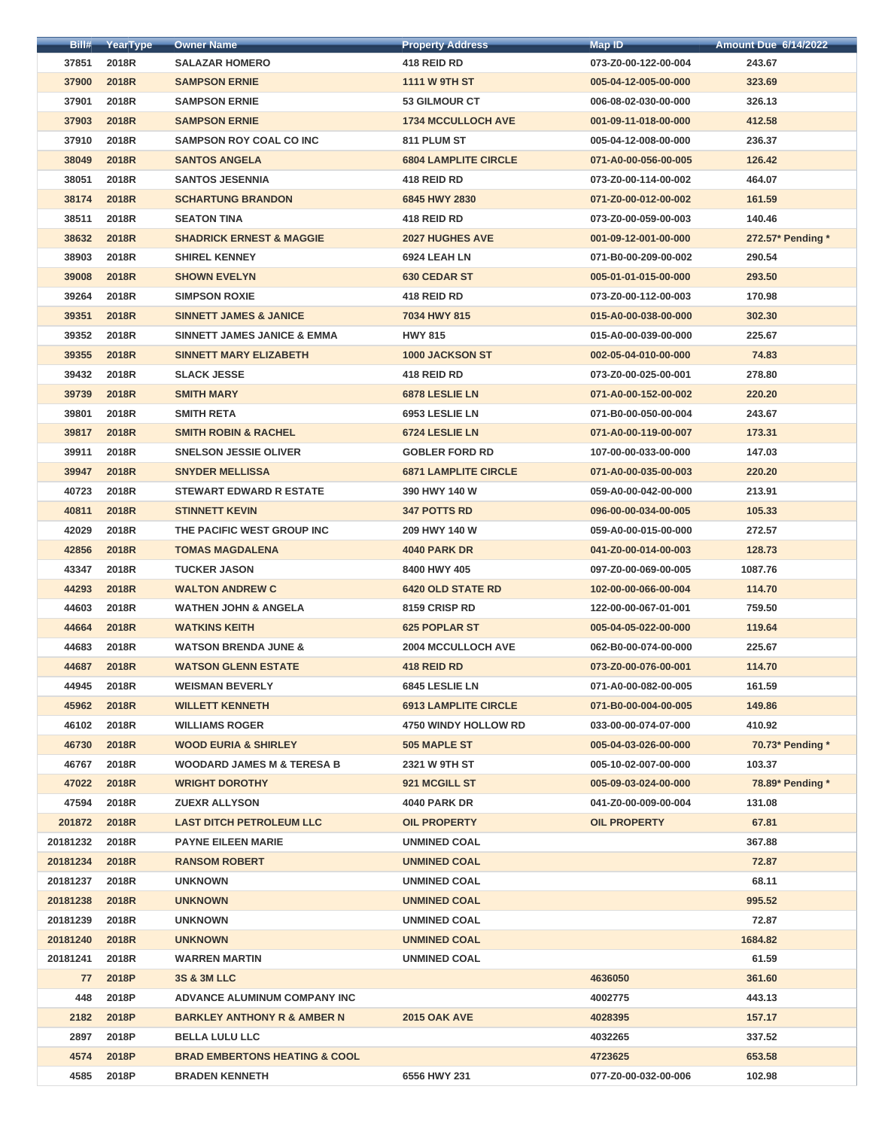| Bill#       | YearType              | <b>Owner Name</b>                                                      | <b>Property Address</b>     | <b>Map ID</b>        | <b>Amount Due 6/14/2022</b> |
|-------------|-----------------------|------------------------------------------------------------------------|-----------------------------|----------------------|-----------------------------|
| 37851       | 2018R                 | <b>SALAZAR HOMERO</b>                                                  | 418 REID RD                 | 073-Z0-00-122-00-004 | 243.67                      |
| 37900       | 2018R                 | <b>SAMPSON ERNIE</b>                                                   | <b>1111 W 9TH ST</b>        | 005-04-12-005-00-000 | 323.69                      |
| 37901       | 2018R                 | <b>SAMPSON ERNIE</b>                                                   | <b>53 GILMOUR CT</b>        | 006-08-02-030-00-000 | 326.13                      |
| 37903       | 2018R                 | <b>SAMPSON ERNIE</b>                                                   | <b>1734 MCCULLOCH AVE</b>   | 001-09-11-018-00-000 | 412.58                      |
| 37910       | 2018R                 | <b>SAMPSON ROY COAL CO INC</b>                                         | 811 PLUM ST                 | 005-04-12-008-00-000 | 236.37                      |
| 38049       | 2018R                 | <b>SANTOS ANGELA</b>                                                   | <b>6804 LAMPLITE CIRCLE</b> | 071-A0-00-056-00-005 | 126.42                      |
| 38051       | 2018R                 | <b>SANTOS JESENNIA</b>                                                 | 418 REID RD                 | 073-Z0-00-114-00-002 | 464.07                      |
| 38174       | 2018R                 | <b>SCHARTUNG BRANDON</b>                                               | 6845 HWY 2830               | 071-Z0-00-012-00-002 | 161.59                      |
| 38511       | 2018R                 | <b>SEATON TINA</b>                                                     | 418 REID RD                 | 073-Z0-00-059-00-003 | 140.46                      |
| 38632       | 2018R                 | <b>SHADRICK ERNEST &amp; MAGGIE</b>                                    | <b>2027 HUGHES AVE</b>      | 001-09-12-001-00-000 | 272.57* Pending *           |
| 38903       | 2018R                 | <b>SHIREL KENNEY</b>                                                   | 6924 LEAH LN                | 071-B0-00-209-00-002 | 290.54                      |
| 39008       | 2018R                 | <b>SHOWN EVELYN</b>                                                    | <b>630 CEDAR ST</b>         | 005-01-01-015-00-000 | 293.50                      |
| 39264       | 2018R                 | <b>SIMPSON ROXIE</b>                                                   | 418 REID RD                 | 073-Z0-00-112-00-003 | 170.98                      |
| 39351       | 2018R                 | <b>SINNETT JAMES &amp; JANICE</b>                                      | 7034 HWY 815                | 015-A0-00-038-00-000 | 302.30                      |
| 39352       | 2018R                 | <b>SINNETT JAMES JANICE &amp; EMMA</b>                                 | <b>HWY 815</b>              | 015-A0-00-039-00-000 | 225.67                      |
| 39355       | 2018R                 | <b>SINNETT MARY ELIZABETH</b>                                          | <b>1000 JACKSON ST</b>      | 002-05-04-010-00-000 | 74.83                       |
| 39432       | 2018R                 | <b>SLACK JESSE</b>                                                     | 418 REID RD                 | 073-Z0-00-025-00-001 | 278.80                      |
| 39739       | 2018R                 | <b>SMITH MARY</b>                                                      | 6878 LESLIE LN              | 071-A0-00-152-00-002 | 220.20                      |
| 39801       | 2018R                 | <b>SMITH RETA</b>                                                      | 6953 LESLIE LN              | 071-B0-00-050-00-004 | 243.67                      |
| 39817       | 2018R                 | <b>SMITH ROBIN &amp; RACHEL</b>                                        | 6724 LESLIE LN              | 071-A0-00-119-00-007 | 173.31                      |
| 39911       | 2018R                 | <b>SNELSON JESSIE OLIVER</b>                                           | <b>GOBLER FORD RD</b>       | 107-00-00-033-00-000 | 147.03                      |
| 39947       | 2018R                 | <b>SNYDER MELLISSA</b>                                                 | <b>6871 LAMPLITE CIRCLE</b> | 071-A0-00-035-00-003 | 220.20                      |
| 40723       | <b>2018R</b>          | <b>STEWART EDWARD R ESTATE</b>                                         | 390 HWY 140 W               | 059-A0-00-042-00-000 | 213.91                      |
| 40811       | 2018R                 | <b>STINNETT KEVIN</b>                                                  | <b>347 POTTS RD</b>         | 096-00-00-034-00-005 | 105.33                      |
| 42029       | 2018R                 | THE PACIFIC WEST GROUP INC                                             | 209 HWY 140 W               | 059-A0-00-015-00-000 | 272.57                      |
| 42856       | 2018R                 | <b>TOMAS MAGDALENA</b>                                                 | <b>4040 PARK DR</b>         | 041-Z0-00-014-00-003 | 128.73                      |
| 43347       | 2018R                 | <b>TUCKER JASON</b>                                                    | 8400 HWY 405                | 097-Z0-00-069-00-005 | 1087.76                     |
| 44293       | 2018R                 | <b>WALTON ANDREW C</b>                                                 | <b>6420 OLD STATE RD</b>    | 102-00-00-066-00-004 | 114.70                      |
| 44603       | <b>2018R</b>          | <b>WATHEN JOHN &amp; ANGELA</b>                                        | 8159 CRISP RD               | 122-00-00-067-01-001 | 759.50                      |
| 44664       | <b>2018R</b>          | <b>WATKINS KEITH</b>                                                   | <b>625 POPLAR ST</b>        | 005-04-05-022-00-000 | 119.64                      |
| 44683       | 2018R                 | <b>WATSON BRENDA JUNE &amp;</b>                                        | <b>2004 MCCULLOCH AVE</b>   | 062-B0-00-074-00-000 | 225.67                      |
| 44687       | <b>2018R</b>          | <b>WATSON GLENN ESTATE</b>                                             | 418 REID RD                 | 073-Z0-00-076-00-001 | 114.70                      |
| 44945       | 2018R                 | <b>WEISMAN BEVERLY</b>                                                 | 6845 LESLIE LN              | 071-A0-00-082-00-005 | 161.59                      |
| 45962       | 2018R                 | <b>WILLETT KENNETH</b>                                                 | <b>6913 LAMPLITE CIRCLE</b> | 071-B0-00-004-00-005 | 149.86                      |
| 46102       | 2018R                 | <b>WILLIAMS ROGER</b>                                                  | <b>4750 WINDY HOLLOW RD</b> | 033-00-00-074-07-000 | 410.92                      |
| 46730       | 2018R                 | <b>WOOD EURIA &amp; SHIRLEY</b>                                        | 505 MAPLE ST                | 005-04-03-026-00-000 | 70.73* Pending *            |
| 46767       | 2018R                 | <b>WOODARD JAMES M &amp; TERESA B</b>                                  | 2321 W 9TH ST               | 005-10-02-007-00-000 | 103.37                      |
| 47022       | 2018R                 | <b>WRIGHT DOROTHY</b>                                                  | 921 MCGILL ST               | 005-09-03-024-00-000 | 78.89* Pending *            |
| 47594       | 2018R                 | <b>ZUEXR ALLYSON</b>                                                   | <b>4040 PARK DR</b>         | 041-Z0-00-009-00-004 | 131.08                      |
| 201872      | 2018R                 | <b>LAST DITCH PETROLEUM LLC</b>                                        | <b>OIL PROPERTY</b>         | <b>OIL PROPERTY</b>  | 67.81                       |
| 20181232    | <b>2018R</b>          | <b>PAYNE EILEEN MARIE</b>                                              | <b>UNMINED COAL</b>         |                      | 367.88                      |
| 20181234    | <b>2018R</b>          | <b>RANSOM ROBERT</b>                                                   | <b>UNMINED COAL</b>         |                      | 72.87                       |
| 20181237    | 2018R                 | <b>UNKNOWN</b>                                                         | <b>UNMINED COAL</b>         |                      | 68.11                       |
| 20181238    | <b>2018R</b>          | <b>UNKNOWN</b>                                                         | <b>UNMINED COAL</b>         |                      | 995.52                      |
| 20181239    | 2018R                 | <b>UNKNOWN</b>                                                         | <b>UNMINED COAL</b>         |                      | 72.87                       |
| 20181240    |                       |                                                                        | <b>UNMINED COAL</b>         |                      | 1684.82                     |
| 20181241    | <b>2018R</b><br>2018R | <b>UNKNOWN</b><br><b>WARREN MARTIN</b>                                 | <b>UNMINED COAL</b>         |                      | 61.59                       |
| 77          | 2018P                 | <b>3S &amp; 3M LLC</b>                                                 |                             | 4636050              | 361.60                      |
|             | 2018P                 |                                                                        |                             | 4002775              | 443.13                      |
| 448<br>2182 | 2018P                 | ADVANCE ALUMINUM COMPANY INC<br><b>BARKLEY ANTHONY R &amp; AMBER N</b> | <b>2015 OAK AVE</b>         | 4028395              | 157.17                      |
| 2897        | 2018P                 | <b>BELLA LULU LLC</b>                                                  |                             | 4032265              | 337.52                      |
| 4574        | 2018P                 | <b>BRAD EMBERTONS HEATING &amp; COOL</b>                               |                             | 4723625              | 653.58                      |
| 4585        | 2018P                 | <b>BRADEN KENNETH</b>                                                  | 6556 HWY 231                | 077-Z0-00-032-00-006 | 102.98                      |
|             |                       |                                                                        |                             |                      |                             |